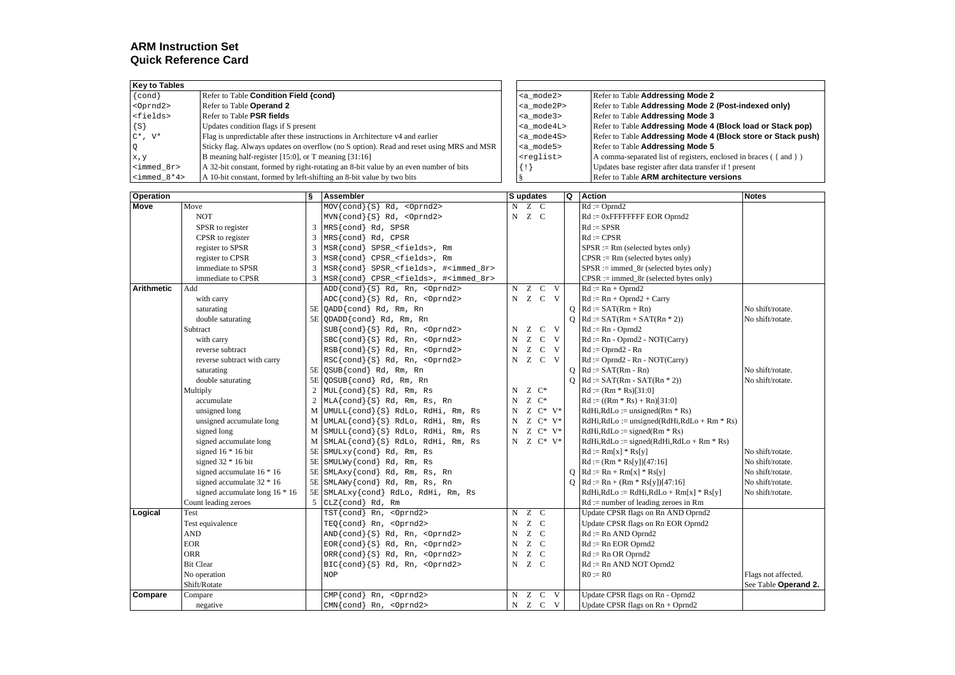# **ARM Instruction Set Quick Reference Card**

| <b>Kev to Tables</b>          |                                                                                         |                     |                                                                 |
|-------------------------------|-----------------------------------------------------------------------------------------|---------------------|-----------------------------------------------------------------|
| $\{cond\}$                    | Refer to Table Condition Field {cond}                                                   | <a mode2=""></a>    | Refer to Table Addressing Mode 2                                |
| $<$ Oprnd $2$ >               | Refer to Table Operand 2                                                                | <a mode2p=""></a>   | Refer to Table Addressing Mode 2 (Post-indexed only)            |
| <fields></fields>             | Refer to Table PSR fields                                                               | <a mode3=""></a>    | Refer to Table Addressing Mode 3                                |
| $\{S\}$                       | Updates condition flags if S present                                                    | <a mode4l=""></a>   | Refer to Table Addressing Mode 4 (Block load or Stack pop)      |
| $C^*$ , $V^*$                 | Flag is unpredictable after these instructions in Architecture v4 and earlier           | <a mode4s=""></a>   | Refer to Table Addressing Mode 4 (Block store or Stack push)    |
| $\circ$                       | Sticky flag. Always updates on overflow (no S option). Read and reset using MRS and MSR | <a mode5=""></a>    | Refer to Table Addressing Mode 5                                |
| x, y                          | B meaning half-register [15:0], or T meaning [31:16]                                    | <reglist></reglist> | A comma-separated list of registers, enclosed in braces ({and}) |
| <immed 8r=""></immed>         | A 32-bit constant, formed by right-rotating an 8-bit value by an even number of bits    | $\{$ !              | Updates base register after data transfer if ! present          |
| $\text{<}\text{immed } 8*4$ > | A 10-bit constant, formed by left-shifting an 8-bit value by two bits                   |                     | Refer to Table ARM architecture versions                        |

| <b>Operation</b>  |                                | ş              | Assembler                                                 |                | S updates        |                      | Q        | <b>Action</b>                                            | <b>Notes</b>         |
|-------------------|--------------------------------|----------------|-----------------------------------------------------------|----------------|------------------|----------------------|----------|----------------------------------------------------------|----------------------|
| <b>Move</b>       | Move                           |                | $MOV{cond}{S}$ $Rd, <0prnd2$                              |                | N Z C            |                      |          | $Rd := \text{Oprnd2}$                                    |                      |
|                   | <b>NOT</b>                     |                | MVN{cond}{S} Rd, <oprnd2></oprnd2>                        |                | N Z C            |                      |          | $Rd := 0x$ FFFFFFFF EOR Oprnd2                           |                      |
|                   | SPSR to register               | 3              | MRS{cond} Rd, SPSR                                        |                |                  |                      |          | $Rd := SPSR$                                             |                      |
|                   | CPSR to register               | $\overline{3}$ | MRS{cond} Rd, CPSR                                        |                |                  |                      |          | $Rd := CPSR$                                             |                      |
|                   | register to SPSR               | $\overline{3}$ | MSR{cond} SPSR <fields>, Rm</fields>                      |                |                  |                      |          | $SPSR := Rm$ (selected bytes only)                       |                      |
|                   | register to CPSR               | $\overline{3}$ | MSR{cond} CPSR <fields>, Rm</fields>                      |                |                  |                      |          | $CPSR := Rm$ (selected bytes only)                       |                      |
|                   | immediate to SPSR              | 3              | MSR{cond} SPSR <fields>, #<immed 8r=""></immed></fields>  |                |                  |                      |          | $SPSR := \text{immed } 8r \text{ (selected bytes only)}$ |                      |
|                   | immediate to CPSR              | 3              | MSR{cond} CPSR_ <fields>, #<immed_8r></immed_8r></fields> |                |                  |                      |          | $CPSR := \text{immed}\_8r$ (selected bytes only)         |                      |
| <b>Arithmetic</b> | Add                            |                | $ADD{cond}{S}$ $Rd$ , $Rn$ , < $Oprnd2$                   | $\overline{N}$ |                  | Z C V                |          | $Rd := Rn + Oprnd2$                                      |                      |
|                   | with carry                     |                | $ADC{cond}{S}$ Rd, Rn, <0prnd2>                           |                |                  | N Z C V              |          | $Rd := Rn + Oprnd2 + Carry$                              |                      |
|                   | saturating                     |                | 5E QADD{cond} Rd, Rm, Rn                                  |                |                  |                      | $\Omega$ | $Rd := SAT(Rm + Rn)$                                     | No shift/rotate.     |
|                   | double saturating              | 5E             | QDADD{cond} Rd, Rm, Rn                                    |                |                  |                      | $\Omega$ | $Rd := SAT(Rm + SAT(Rn * 2))$                            | No shift/rotate.     |
|                   | Subtract                       |                | $SUB{cond}{S}$ , Rd, Rn, <0prnd2>                         |                | $N$ $Z$          | $C$ V                |          | $Rd := Rn - Oprnd2$                                      |                      |
|                   | with carry                     |                | $\text{SBC} \{\text{cond}\}\$ Rd, Rn, < $\text{Optnd2>}$  | N              |                  | Z C V                |          | $Rd := Rn - Oprnd2 - NOT(Carry)$                         |                      |
|                   | reverse subtract               |                | RSB{cond}{S} Rd, Rn, <oprnd2></oprnd2>                    | $\mathbf N$    |                  | Z C V                |          | $Rd := Oprnd2 - Rn$                                      |                      |
|                   | reverse subtract with carry    |                | RSC{cond}{S} Rd, Rn, <oprnd2></oprnd2>                    |                |                  | N Z C V              |          | $Rd := \text{Oprnd2 - }Rn - \text{NOT}(Carry)$           |                      |
|                   | saturating                     | 5E             | QSUB{cond} Rd, Rm, Rn                                     |                |                  |                      | 0        | $Rd := SAT(Rm - Rn)$                                     | No shift/rotate.     |
|                   | double saturating              | 5E             | QDSUB{cond} Rd, Rm, Rn                                    |                |                  |                      |          | $Q$ Rd := SAT(Rm - SAT(Rn * 2))                          | No shift/rotate.     |
|                   | Multiply                       | $\overline{c}$ | $MUL{cond}{S}$ Rd, Rm, Rs                                 | N              | $Z \mathbb{C}^*$ |                      |          | $Rd := (Rm * Rs)[31:0]$                                  |                      |
|                   | accumulate                     | $\overline{2}$ | $MLA{cond}{S}$ Rd, Rm, Rs, Rn                             | N              | $Z \mathbb{C}^*$ |                      |          | $Rd := ((Rm * Rs) + Rn)[31:0]$                           |                      |
|                   | unsigned long                  | M              | UMULL{cond}{S} RdLo, RdHi, Rm, Rs                         | N              |                  | $Z \ C^* \ V^*$      |          | $RdHi, RdLo := unsigned(Rm * Rs)$                        |                      |
|                   | unsigned accumulate long       | M              | UMLAL{cond}{S} RdLo, RdHi, Rm, Rs                         | N              |                  | $Z \mathbb{C}^* V^*$ |          | $RdHi, RdLo :=$ unsigned( $RdHi, RdLo + Rm * Rs$ )       |                      |
|                   | signed long                    | M              | SMULL{cond}{S} RdLo, RdHi, Rm, Rs                         | N              |                  | $Z \ C^* \ V^*$      |          | $RdHi, RdLo := signed(Rm * Rs)$                          |                      |
|                   | signed accumulate long         | M              | SMLAL{cond}{S} RdLo, RdHi, Rm, Rs                         | N              |                  | Z $C^*$ V*           |          | $RdHi, RdLo := signed(RdHi, RdLo + Rm * Rs)$             |                      |
|                   | signed $16 * 16$ bit           | 5E             | SMULxy{cond} Rd, Rm, Rs                                   |                |                  |                      |          | $Rd := Rm[x] * Rs[y]$                                    | No shift/rotate.     |
|                   | signed $32 * 16$ bit           | 5E             | SMULWy{cond} Rd, Rm, Rs                                   |                |                  |                      |          | $Rd := (Rm * Rs[y])[47:16]$                              | No shift/rotate.     |
|                   | signed accumulate $16 * 16$    | 5E             | SMLAxy{cond} Rd, Rm, Rs, Rn                               |                |                  |                      | $\circ$  | $Rd := Rn + Rm[x] * Rs[y]$                               | No shift/rotate.     |
|                   | signed accumulate 32 * 16      | 5E             | SMLAWy{cond} Rd, Rm, Rs, Rn                               |                |                  |                      | О        | $Rd := Rn + (Rm * Rs[y])[47:16]$                         | No shift/rotate.     |
|                   | signed accumulate long 16 * 16 |                | 5E SMLALxy{cond} RdLo, RdHi, Rm, Rs                       |                |                  |                      |          | $RdHi, RdLo := RdHi, RdLo + Rm[x] * Rs[y]$               | No shift/rotate.     |
|                   | Count leading zeroes           | $\mathfrak{F}$ | CLZ{cond} Rd, Rm                                          |                |                  |                      |          | $Rd :=$ number of leading zeroes in Rm                   |                      |
| Logical           | <b>Test</b>                    |                | TST{cond} Rn, <0prnd2>                                    | N              | Z C              |                      |          | Update CPSR flags on Rn AND Oprnd2                       |                      |
|                   | Test equivalence               |                | TEQ{cond} Rn, <0prnd2>                                    | N              | Z C              |                      |          | Update CPSR flags on Rn EOR Oprnd2                       |                      |
|                   | <b>AND</b>                     |                | $AND{cond}{S}$ Rd, Rn, <0prnd2>                           | $\mathbf N$    | Z C              |                      |          | $Rd := Rn$ AND Oprnd2                                    |                      |
|                   | <b>EOR</b>                     |                | $EOR{cond}{S}$ Rd, Rn, <0prnd2>                           | N              | Z C              |                      |          | $Rd := Rn EOR$ Oprnd2                                    |                      |
|                   | <b>ORR</b>                     |                | ORR{cond}{S} Rd, Rn, <oprnd2></oprnd2>                    | $\mathbf N$    | Z C              |                      |          | $Rd := Rn$ OR Oprnd2                                     |                      |
|                   | <b>Bit Clear</b>               |                | $BIC{cond}{S}$ Rd, Rn, <0prnd2>                           |                | N Z C            |                      |          | $Rd := Rn$ AND NOT Oprnd2                                |                      |
|                   | No operation                   |                | <b>NOP</b>                                                |                |                  |                      |          | $R0 := R0$                                               | Flags not affected.  |
|                   | Shift/Rotate                   |                |                                                           |                |                  |                      |          |                                                          | See Table Operand 2. |
| Compare           | Compare                        |                | $CMP{cond}$ $Rn, <0prnd2$                                 | N              |                  | Z C V                |          | Update CPSR flags on Rn - Oprnd2                         |                      |
|                   | negative                       |                | $CMN\{\text{cond}\}\$ Rn, < $Optnd2$ >                    |                |                  | N Z C V              |          | Update CPSR flags on $Rn + Oprnd2$                       |                      |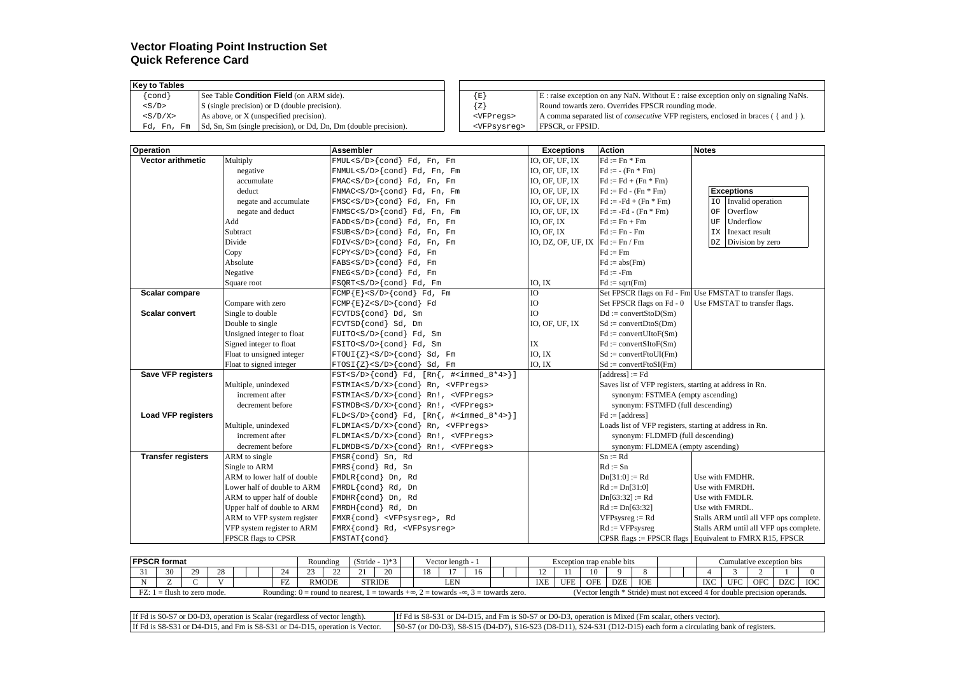# **Vector Floating Point Instruction Set Quick Reference Card**

| Kev to Tables                                                                  |                         |                                                                                           |
|--------------------------------------------------------------------------------|-------------------------|-------------------------------------------------------------------------------------------|
| $\{cond\}$<br>See Table <b>Condition Field</b> (on ARM side).                  | $\{E\}$                 | $E$ : raise exception on any NaN. Without E : raise exception only on signaling NaNs.     |
| S (single precision) or D (double precision).<br>$<$ S/D>                      | ${z}$                   | Round towards zero. Overrides FPSCR rounding mode.                                        |
| As above, or X (unspecified precision).<br>$<$ S/D/X>                          | <vfpreqs></vfpreqs>     | A comma separated list of <i>consecutive</i> VFP registers, enclosed in braces ({ and }). |
| Sd, Sn, Sm (single precision), or Dd, Dn, Dm (double precision).<br>Fd, Fn, Fm | <vfpsvsreq></vfpsvsreq> | <b>FPSCR.</b> or FPSID.                                                                   |

| <b>Operation</b>          |                             | <b>Assembler</b>                                                                            | <b>Exceptions</b>      | <b>Action</b>                                           | <b>Notes</b>                                             |
|---------------------------|-----------------------------|---------------------------------------------------------------------------------------------|------------------------|---------------------------------------------------------|----------------------------------------------------------|
| <b>Vector arithmetic</b>  | Multiply                    | $FMUL < S/D > \{cond\}$ Fd, Fn, Fm                                                          | IO, OF, UF, IX         | $Fd := Fn * Fm$                                         |                                                          |
|                           | negative                    | FNMUL <s d="">{cond} Fd, Fn, Fm</s>                                                         | IO, OF, UF, IX         | $Fd := - (Fn * Fm)$                                     |                                                          |
|                           | accumulate                  | $FMAC < S/D$ {cond} $Fd$ , $Fn$ , $Fm$                                                      | IO, OF, UF, IX         | $Fd := Fd + (Fn * Fm)$                                  |                                                          |
|                           | deduct                      | FNMAC <s d="">{cond} Fd, Fn, Fm</s>                                                         | IO, OF, UF, IX         | $Fd := Fd - (Fn * Fm)$                                  | <b>Exceptions</b>                                        |
|                           | negate and accumulate       | FMSC <s d="">{cond} Fd, Fn, Fm</s>                                                          | IO, OF, UF, IX         | $Fd := -Fd + (Fn * Fm)$                                 | Invalid operation<br>IO                                  |
|                           | negate and deduct           | FNMSC <s d="">{cond} Fd, Fn, Fm</s>                                                         | IO, OF, UF, IX         | $Fd := -Fd - (Fn * Fm)$                                 | Overflow<br>OF                                           |
|                           | Add                         | FADD <s d="">{cond} Fd, Fn, Fm</s>                                                          | IO, OF, IX             | $Fd := Fn + Fm$                                         | Underflow<br>UF                                          |
|                           | Subtract                    | FSUB <s d="">{cond} Fd, Fn, Fm</s>                                                          | IO, OF, IX             | $Fd := Fn - Fm$                                         | IX<br>Inexact result                                     |
|                           | Divide                      | FDIV <s d="">{cond} Fd, Fn, Fm</s>                                                          | IO, DZ, OF, UF, IX     | $Fd := Fn / Fm$                                         | $\mathbb{D}\mathbb{Z}$<br>Division by zero               |
|                           | Copy                        | FCPY <s d="">{cond} Fd, Fm</s>                                                              |                        | $Fd := Fm$                                              |                                                          |
|                           | Absolute                    | $FABS\{cond\}$ Fd, Fm                                                                       |                        | $Fd := abs(Fm)$                                         |                                                          |
|                           | Negative                    | $FNEG< S/D>$ {cond} $Fd$ , $Fm$                                                             |                        | $Fd := -Fm$                                             |                                                          |
|                           | Square root                 | $FSQRT < S/D > \{cond\}$ Fd, Fm                                                             | IO, IX                 | $Fd := sqrt(Fm)$                                        |                                                          |
| Scalar compare            |                             | $FCMP{E} < S/D > \{cond\}$ Fd, Fm                                                           | IO                     |                                                         | Set FPSCR flags on Fd - Fm Use FMSTAT to transfer flags. |
|                           | Compare with zero           | $FCMP{E}Z{cond}$ $Fd$                                                                       | IO                     | Set FPSCR flags on Fd - 0                               | Use FMSTAT to transfer flags.                            |
| <b>Scalar convert</b>     | Single to double            | FCVTDS{cond} Dd, Sm                                                                         | IO                     | $Dd := convertStoD(Sm)$                                 |                                                          |
|                           | Double to single            | FCVTSD{cond} Sd, Dm                                                                         | IO, OF, UF, IX         | $Sd := convertDtoS(Dm)$                                 |                                                          |
|                           | Unsigned integer to float   | FUITO <s d="">{cond} Fd, Sm</s>                                                             |                        | $Fd := convertUItoF(Sm)$                                |                                                          |
|                           | Signed integer to float     | FSITO <s d="">{cond} Fd, Sm</s>                                                             | $\mathbf{I}\mathbf{X}$ | $Fd := convertSttoF(Sm)$                                |                                                          |
|                           | Float to unsigned integer   | $FTOUT{z}(cond) Sd, Fm$                                                                     | IO, IX                 | $Sd := convertFtoUI(Fm)$                                |                                                          |
|                           | Float to signed integer     | $FTOSI{Z}{<}S/D>{cond} Sd, Fm$                                                              | IO, IX                 | $Sd := convertFtoSI(Fm)$                                |                                                          |
| <b>Save VFP registers</b> |                             | $\texttt{FST-S/D}> \{\texttt{cond}\}\ \texttt{Fd},\ \texttt{[Rn},\ +\texttt{simed_8*4>} \}$ |                        | $[address] := Fd$                                       |                                                          |
|                           | Multiple, unindexed         | FSTMIA <s d="" x="">{cond} Rn, <vfpregs></vfpregs></s>                                      |                        | Saves list of VFP registers, starting at address in Rn. |                                                          |
|                           | increment after             | FSTMIA <s d="" x="">{cond} Rn!, <vfpreqs></vfpreqs></s>                                     |                        | synonym: FSTMEA (empty ascending)                       |                                                          |
|                           | decrement before            | FSTMDB <s d="" x="">{cond} Rn!, <vfpregs></vfpregs></s>                                     |                        | synonym: FSTMFD (full descending)                       |                                                          |
| <b>Load VFP registers</b> |                             | $FLD < S/D > \{cond\}$ Fd, $[Rn\{, #immed 8*4>]\}$                                          |                        | $Fd := [address]$                                       |                                                          |
|                           | Multiple, unindexed         | FLDMIA <s d="" x="">{cond} Rn, <vfpregs></vfpregs></s>                                      |                        | Loads list of VFP registers, starting at address in Rn. |                                                          |
|                           | increment after             | $FLDMIA < S/D/X > \{cond\}$ Rn!, <vfpreqs></vfpreqs>                                        |                        | synonym: FLDMFD (full descending)                       |                                                          |
|                           | decrement before            | $FLDMDB < S/D/X > \{cond\}$ Rn!, <vfpregs></vfpregs>                                        |                        | synonym: FLDMEA (empty ascending)                       |                                                          |
| <b>Transfer registers</b> | ARM to single               | FMSR{cond} Sn, Rd                                                                           |                        | $Sn := Rd$                                              |                                                          |
|                           | Single to ARM               | FMRS{cond} Rd, Sn                                                                           |                        | $Rd := Sn$                                              |                                                          |
|                           | ARM to lower half of double | FMDLR{cond} Dn, Rd                                                                          |                        | $Dn[31:0] := Rd$                                        | Use with FMDHR.                                          |
|                           | Lower half of double to ARM | FMRDL{cond} Rd, Dn                                                                          |                        | $Rd := Dn[31:0]$                                        | Use with FMRDH.                                          |
|                           | ARM to upper half of double | FMDHR{cond} Dn, Rd                                                                          |                        | $Dn[63:32] := Rd$                                       | Use with FMDLR.                                          |
|                           | Upper half of double to ARM | FMRDH{cond} Rd, Dn                                                                          |                        | $Rd := Dn[63:32]$                                       | Use with FMRDL.                                          |
|                           | ARM to VFP system register  | FMXR{cond} <vfpsysreg>, Rd</vfpsysreg>                                                      |                        | $VFPisysreg := Rd$                                      | Stalls ARM until all VFP ops complete.                   |
|                           | VFP system register to ARM  | FMRX{cond} Rd, <vfpsysreg></vfpsysreg>                                                      |                        | $Rd := VFP$ sysreg                                      | Stalls ARM until all VFP ops complete.                   |
|                           | FPSCR flags to CPSR         | FMSTAT{cond}                                                                                |                        |                                                         | CPSR flags := FPSCR flags Equivalent to FMRX R15, FPSCR  |

| <b>FPSCR</b> format                                                                                                                                                                                                             |                   |  |  |  | Rounding |                           | $1)*2$<br>Vector length -<br>(Stride |                        |  |   |     | Exception trap enable bits |    |            |     |            |            | Cumulative exception bits |  |     |             |                 |     |          |  |
|---------------------------------------------------------------------------------------------------------------------------------------------------------------------------------------------------------------------------------|-------------------|--|--|--|----------|---------------------------|--------------------------------------|------------------------|--|---|-----|----------------------------|----|------------|-----|------------|------------|---------------------------|--|-----|-------------|-----------------|-----|----------|--|
|                                                                                                                                                                                                                                 | $\sim$<br>- - - - |  |  |  |          |                           |                                      | <u>_</u>               |  | ∸ |     |                            | 10 |            |     |            | 10         |                           |  |     |             |                 |     |          |  |
|                                                                                                                                                                                                                                 | -                 |  |  |  |          | <b>The Second Service</b> |                                      | <b>STRIDE</b><br>RMODE |  |   | LEN |                            |    | <b>IXE</b> | UFE | <b>OFE</b> | <b>DZE</b> | IOE                       |  | IXC | <b>TIEC</b> | OF <sub>0</sub> | DZC | LOO<br>w |  |
| length * Stride<br>$1 =$ flush to zero mode.<br>must not exceed 4 for double precision operands.<br>(Vector<br>$1 =$ towards $+\infty$ , 2 = towards $-\infty$ , 3 = towards zero.<br>Rounding: $0 =$ round to nearest, 1<br>ы. |                   |  |  |  |          |                           |                                      |                        |  |   |     |                            |    |            |     |            |            |                           |  |     |             |                 |     |          |  |

| If Fd is S0-S7 or D0-D3, operation is Scalar (regardless of vector length). | If Fd is S8-S31 or D4-D15, and Fm is S0-S7 or D0-D3, operation is Mixed (Fm scalar, others vector).                                                                                          |
|-----------------------------------------------------------------------------|----------------------------------------------------------------------------------------------------------------------------------------------------------------------------------------------|
|                                                                             | If Fd is S8-S31 or D4-D15, and Fm is S8-S31 or D4-D15, operation is Vector. S0-S7 (or D0-D3), S8-S15 (D4-D7), S16-S23 (D8-D11), S24-S31 (D12-D15) each form a circulating bank of registers. |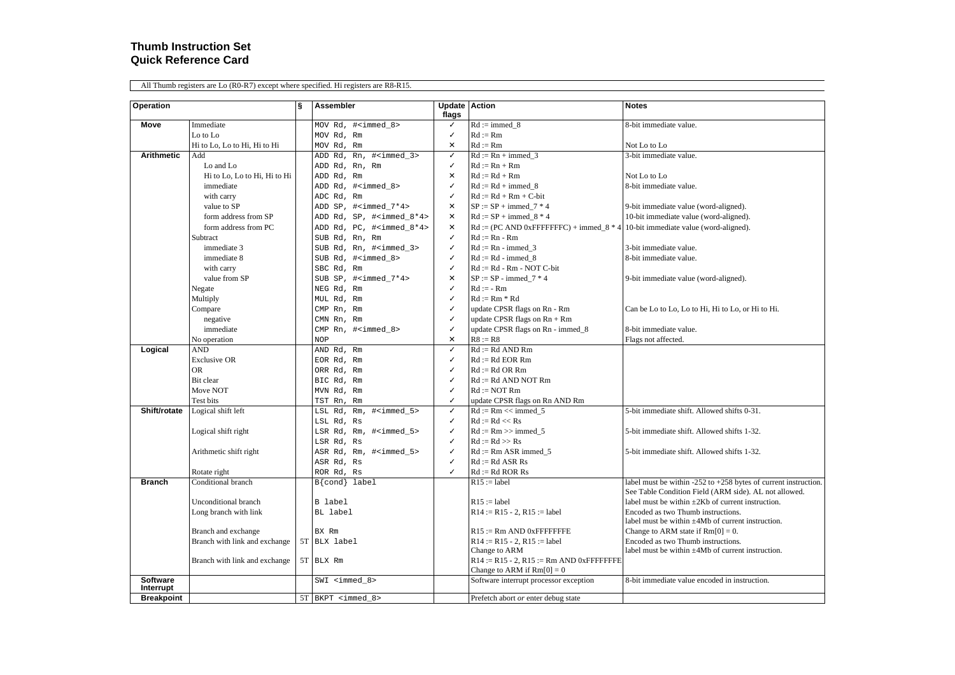#### **Thumb Instruction Set Quick Reference Card**

All Thumb registers are Lo (R0-R7) except where specified. Hi registers are R8-R15.

| Operation         |                               | ş | <b>Assembler</b>                     | <b>Update Action</b> |                                                                                  | <b>Notes</b>                                                      |
|-------------------|-------------------------------|---|--------------------------------------|----------------------|----------------------------------------------------------------------------------|-------------------------------------------------------------------|
|                   |                               |   |                                      | flags                |                                                                                  |                                                                   |
| Move              | Immediate                     |   | MOV Rd, # <immed 8=""></immed>       | ✓                    | $Rd := \text{immed } 8$                                                          | 8-bit immediate value.                                            |
|                   | Lo to Lo                      |   | MOV Rd, Rm                           | ✓                    | $Rd := Rm$                                                                       |                                                                   |
|                   | Hi to Lo, Lo to Hi, Hi to Hi  |   | MOV Rd, Rm                           | ×                    | $Rd := Rm$                                                                       | Not Lo to Lo                                                      |
| <b>Arithmetic</b> | Add                           |   | ADD Rd, Rn, # <immed 3=""></immed>   | ✓                    | $Rd := Rn + \text{immed } 3$                                                     | 3-bit immediate value.                                            |
|                   | Lo and Lo                     |   | ADD Rd, Rn, Rm                       | ✓                    | $Rd := Rn + Rm$                                                                  |                                                                   |
|                   | Hi to Lo, Lo to Hi, Hi to Hi  |   | ADD Rd, Rm                           | ×                    | $Rd := Rd + Rm$                                                                  | Not Lo to Lo                                                      |
|                   | immediate                     |   | ADD Rd, # <immed_8></immed_8>        | ✓                    | $Rd := Rd + \text{immed } 8$                                                     | 8-bit immediate value.                                            |
|                   | with carry                    |   | ADC Rd, Rm                           | ✓                    | $Rd := Rd + Rm + C-bit$                                                          |                                                                   |
|                   | value to SP                   |   | ADD SP, # <immed 7*4=""></immed>     | ×                    | $SP := SP + \text{immed } 7 * 4$                                                 | 9-bit immediate value (word-aligned).                             |
|                   | form address from SP          |   | ADD Rd, SP, # <immed 8*4=""></immed> | X                    | $Rd := SP + \text{immed } 8 * 4$                                                 | 10-bit immediate value (word-aligned).                            |
|                   | form address from PC          |   | ADD Rd, PC, # <immed 8*4=""></immed> | X                    | Rd := (PC AND 0xFFFFFFFC) + immed $8 * 4$ 10-bit immediate value (word-aligned). |                                                                   |
|                   | Subtract                      |   | SUB Rd, Rn, Rm                       | ✓                    | $Rd := Rn - Rm$                                                                  |                                                                   |
|                   | immediate 3                   |   | SUB Rd, Rn, # <immed_3></immed_3>    | ✓                    | $Rd := Rn - \text{immed } 3$                                                     | 3-bit immediate value.                                            |
|                   | immediate 8                   |   | SUB Rd, # <immed_8></immed_8>        | ✓                    | $Rd := Rd - immedi 8$                                                            | 8-bit immediate value.                                            |
|                   | with carry                    |   | SBC Rd, Rm                           | ✓                    | $Rd := Rd - Rm - NOT C-bit$                                                      |                                                                   |
|                   | value from SP                 |   | SUB SP, # <immed_7*4></immed_7*4>    | x                    | $SP := SP - \text{immed } 7 * 4$                                                 | 9-bit immediate value (word-aligned).                             |
|                   | Negate                        |   | NEG Rd, Rm                           | ✓                    | $Rd := -Rm$                                                                      |                                                                   |
|                   | Multiply                      |   | MUL Rd, Rm                           | ✓                    | $Rd := Rm * Rd$                                                                  |                                                                   |
|                   | Compare                       |   | CMP Rn, Rm                           | √                    | update CPSR flags on Rn - Rm                                                     | Can be Lo to Lo, Lo to Hi, Hi to Lo, or Hi to Hi.                 |
|                   | negative                      |   | CMN Rn, Rm                           | ✓                    | update CPSR flags on $Rn + Rm$                                                   |                                                                   |
|                   | immediate                     |   | CMP Rn, # <immed_8></immed_8>        | ✓                    | update CPSR flags on Rn - immed_8                                                | 8-bit immediate value.                                            |
|                   | No operation                  |   | <b>NOP</b>                           | x                    | $R8 := R8$                                                                       | Flags not affected.                                               |
| Logical           | <b>AND</b>                    |   | AND Rd, Rm                           | ✓                    | $Rd := Rd$ AND $Rm$                                                              |                                                                   |
|                   | <b>Exclusive OR</b>           |   | EOR Rd, Rm                           | ✓                    | $Rd := Rd$ EOR Rm                                                                |                                                                   |
|                   | OR                            |   | ORR Rd, Rm                           | ✓                    | $Rd := Rd$ OR Rm                                                                 |                                                                   |
|                   | Bit clear                     |   | BIC Rd, Rm                           | ✓                    | $Rd := Rd$ AND NOT $Rm$                                                          |                                                                   |
|                   | Move NOT                      |   | MVN Rd, Rm                           | ✓                    | $Rd := NOTRm$                                                                    |                                                                   |
|                   | Test bits                     |   | TST Rn, Rm                           | ✓                    | update CPSR flags on Rn AND Rm                                                   |                                                                   |
| Shift/rotate      | Logical shift left            |   | LSL Rd, Rm, # <immed_5></immed_5>    | √                    | $Rd := Rm \ll \text{immed } 5$                                                   | 5-bit immediate shift. Allowed shifts 0-31.                       |
|                   |                               |   | LSL Rd, Rs                           | ✓                    | $Rd := Rd \ll Rs$                                                                |                                                                   |
|                   | Logical shift right           |   | LSR Rd, Rm, # <immed_5></immed_5>    | ✓                    | $Rd := Rm \gg immed$ 5                                                           | 5-bit immediate shift. Allowed shifts 1-32.                       |
|                   |                               |   | LSR Rd, Rs                           | ✓                    | $Rd := Rd \gg Rs$                                                                |                                                                   |
|                   | Arithmetic shift right        |   | ASR Rd, Rm, # <immed 5=""></immed>   | ✓                    | $Rd := Rm$ ASR immed 5                                                           | 5-bit immediate shift. Allowed shifts 1-32.                       |
|                   |                               |   | ASR Rd, Rs                           | ✓                    | $Rd := Rd$ ASR $Rs$                                                              |                                                                   |
|                   | Rotate right                  |   | ROR Rd, Rs                           | ✓                    | $Rd := Rd$ ROR $Rs$                                                              |                                                                   |
| <b>Branch</b>     | Conditional branch            |   | $B\{\text{cond}\}\$ label            |                      | $R15 :=$ label                                                                   | label must be within -252 to $+258$ bytes of current instruction. |
|                   |                               |   |                                      |                      |                                                                                  | See Table Condition Field (ARM side). AL not allowed.             |
|                   | Unconditional branch          |   | B label                              |                      | $R15 :=$ label                                                                   | label must be within $\pm 2Kb$ of current instruction.            |
|                   | Long branch with link         |   | BL label                             |                      | $R14 := R15 - 2$ , $R15 :=$ label                                                | Encoded as two Thumb instructions.                                |
|                   |                               |   |                                      |                      |                                                                                  | label must be within $\pm 4Mb$ of current instruction.            |
|                   | Branch and exchange           |   | BX Rm                                |                      | $R15 := Rm$ AND 0xFFFFFFFE                                                       | Change to ARM state if $Rm[0] = 0$ .                              |
|                   | Branch with link and exchange |   | 5T BLX label                         |                      | $R14 := R15 - 2$ , $R15 :=$ label                                                | Encoded as two Thumb instructions.                                |
|                   |                               |   |                                      |                      | Change to ARM                                                                    | label must be within $\pm 4Mb$ of current instruction.            |
|                   | Branch with link and exchange |   | 5T BLX Rm                            |                      | $R14 := R15 - 2$ , $R15 := Rm$ AND 0xFFFFFFFFE                                   |                                                                   |
| <b>Software</b>   |                               |   |                                      |                      | Change to ARM if $Rm[0] = 0$                                                     | 8-bit immediate value encoded in instruction.                     |
| Interrupt         |                               |   | $SWI$ <immed 8=""></immed>           |                      | Software interrupt processor exception                                           |                                                                   |
| <b>Breakpoint</b> |                               |   | $5T$ BKPT <immed 8=""></immed>       |                      | Prefetch abort or enter debug state                                              |                                                                   |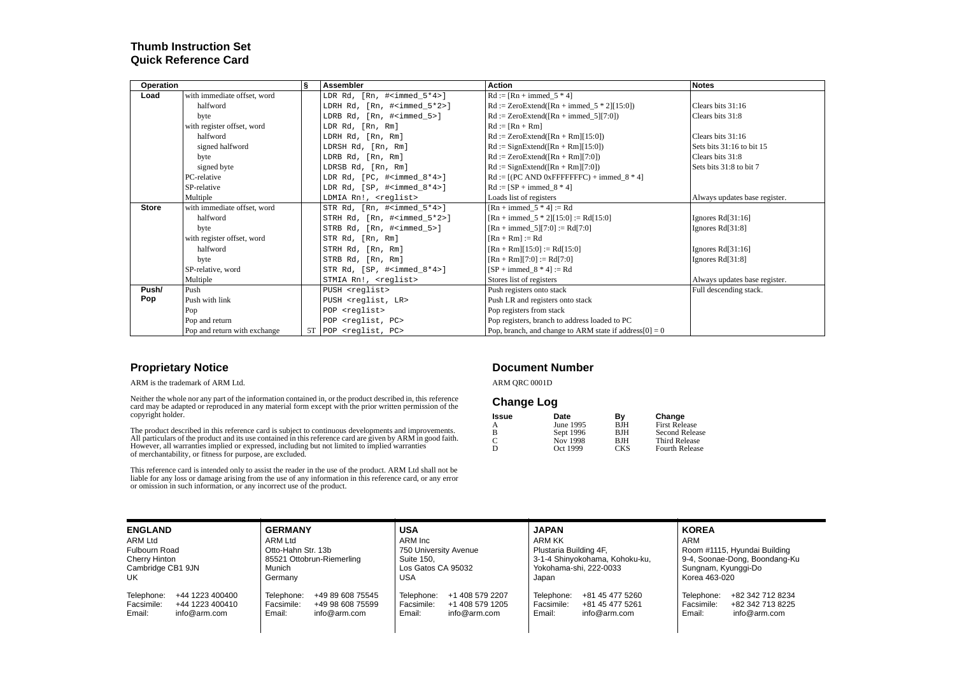# **Thumb Instruction Set Quick Reference Card**

| <b>Operation</b> |                              | S | Assembler                                          | <b>Action</b>                                             | <b>Notes</b>                  |
|------------------|------------------------------|---|----------------------------------------------------|-----------------------------------------------------------|-------------------------------|
| Load             | with immediate offset, word  |   | LDR Rd, $[Rn, #]$                                  | $Rd := [Rn + \text{immed}\_5 * 4]$                        |                               |
|                  | halfword                     |   | LDRH Rd, [Rn, # <immed_5*2>]</immed_5*2>           | $Rd := ZeroExtend([Rn + immedi_5 * 2][15:0])$             | Clears bits 31:16             |
|                  | byte                         |   | LDRB Rd, [Rn, # <immed 5="">]</immed>              | $Rd := ZeroExtend([Rn + immedi_5][7:0])$                  | Clears bits 31:8              |
|                  | with register offset, word   |   | LDR Rd, [Rn, Rm]                                   | $Rd := [Rn + Rm]$                                         |                               |
|                  | halfword                     |   | LDRH Rd, [Rn, Rm]                                  | $Rd := ZeroExtend([Rn + Rm][15:0])$                       | Clears bits 31:16             |
|                  | signed halfword              |   | LDRSH Rd, [Rn, Rm]                                 | $Rd :=$ SignExtend( $[Rn + Rm][15:0]$ )                   | Sets bits 31:16 to bit 15     |
|                  | byte                         |   | LDRB Rd, [Rn, Rm]                                  | $Rd := ZeroExtend([Rn + Rm][7:0])$                        | Clears bits 31:8              |
|                  | signed byte                  |   | LDRSB Rd, [Rn, Rm]                                 | $Rd :=$ SignExtend( $[Rn + Rm][7:0]$ )                    | Sets bits 31:8 to bit 7       |
|                  | PC-relative                  |   | LDR $Rd$ , $[PC, #immed_8*4]1$                     | $Rd := [(PC AND 0xFFFFFFC) + immedi 8 * 4]$               |                               |
|                  | SP-relative                  |   | LDR Rd, [SP, $\#$ <immed <math="">8*4&gt;]</immed> | $Rd := [SP + \text{immed } 8 * 4]$                        |                               |
|                  | Multiple                     |   | LDMIA Rn!, <reglist></reglist>                     | Loads list of registers                                   | Always updates base register. |
| <b>Store</b>     | with immediate offset, word  |   | STR Rd, $[Rn, #immed 5*4>]$                        | $[Rn + \text{immed } 5 * 4] := Rd$                        |                               |
|                  | halfword                     |   | STRH Rd, [Rn, # <immed_5*2>]</immed_5*2>           | $[Rn + immedi_5 * 2][15:0] := Rd[15:0]$                   | Ignores $Rd[31:16]$           |
|                  | byte                         |   | STRB Rd, [Rn, # <immed 5="">]</immed>              | $[Rn + immedi_5][7:0] := Rd[7:0]$                         | Ignores Rd[31:8]              |
|                  | with register offset, word   |   | STR Rd, [Rn, Rm]                                   | $[Rn + Rm] := Rd$                                         |                               |
|                  | halfword                     |   | STRH Rd, [Rn, Rm]                                  | $[Rn + Rm][15:0] := Rd[15:0]$                             | Ignores $Rd[31:16]$           |
|                  | byte                         |   | STRB Rd, [Rn, Rm]                                  | $[Rn + Rm][7:0] := Rd[7:0]$                               | Ignores $Rd[31:8]$            |
|                  | SP-relative, word            |   | STR Rd, $[SP, #immed_8*4>]$                        | $[SP + immedi_8 * 4] := Rd$                               |                               |
|                  | Multiple                     |   | STMIA Rn!, <reglist></reglist>                     | Stores list of registers                                  | Always updates base register. |
| Push/            | Push                         |   | PUSH <reglist></reglist>                           | Push registers onto stack                                 | Full descending stack.        |
| Pop              | Push with link               |   | PUSH <reglist, lr=""></reglist,>                   | Push LR and registers onto stack                          |                               |
|                  | Pop                          |   | POP <reglist></reglist>                            | Pop registers from stack                                  |                               |
|                  | Pop and return               |   | POP <reqlist, pc=""></reqlist,>                    | Pop registers, branch to address loaded to PC             |                               |
|                  | Pop and return with exchange |   | $5T$ POP $\leq$ reglist, PC $>$                    | Pop, branch, and change to ARM state if address $[0] = 0$ |                               |

#### **Proprietary Notice**

ARM is the trademark of ARM Ltd.

Neither the whole nor any part of the information contained in, or the product described in, this reference card may be adapted or reproduced in any material form except with the prior written permission of the copyright holder.

The product described in this reference card is subject to continuous developments and improvements.<br>All particulars of the product and its use contained in this reference card are given by ARM in good faith.<br>However, all

This reference card is intended only to assist the reader in the use of the product. ARM Ltd shall not be<br>liable for any loss or damage arising from the use of any information in this reference card, or any error<br>or omissi

#### **Document Number**

ARM QRC 0001D

#### **Change Log**

| <b>Issue</b> | Date      | Βv         | Change                |
|--------------|-----------|------------|-----------------------|
| А            | June 1995 | <b>BJH</b> | <b>First Release</b>  |
| в            | Sept 1996 | <b>BJH</b> | <b>Second Release</b> |
| C            | Nov 1998  | <b>BJH</b> | <b>Third Release</b>  |
|              | Oct 1999  | <b>CKS</b> | <b>Fourth Release</b> |

| <b>ENGLAND</b>       | <b>GERMANY</b>            | <b>USA</b>            | <b>JAPAN</b>                   | <b>KOREA</b>                  |  |  |
|----------------------|---------------------------|-----------------------|--------------------------------|-------------------------------|--|--|
| ARM Ltd              | ARM Ltd                   | ARM Inc               | ARM KK                         | ARM                           |  |  |
| <b>Fulbourn Road</b> | Otto-Hahn Str. 13b        | 750 University Avenue | Plustaria Building 4F,         | Room #1115, Hyundai Building  |  |  |
| Cherry Hinton        | 85521 Ottobrun-Riemerling | Suite 150.            | 3-1-4 Shinyokohama, Kohoku-ku, | 9-4, Soonae-Dong, Boondang-Ku |  |  |
| Cambridge CB1 9JN    | Munich                    | Los Gatos CA 95032    | Yokohama-shi, 222-0033         | Sungnam, Kyunggi-Do           |  |  |
| UK                   | Germany                   | USA                   | Japan                          | Korea 463-020                 |  |  |
| Telephone:           | Telephone:                | +1 408 579 2207       | Telephone:                     | +82 342 712 8234              |  |  |
| +44 1223 400400      | +49 89 608 75545          | Telephone:            | +81 45 477 5260                | Telephone:                    |  |  |
| Facsimile:           | Facsimile:                | Facsimile:            | Facsimile:                     | Facsimile:                    |  |  |
| +44 1223 400410      | +49 98 608 75599          | +1 408 579 1205       | +81 45 477 5261                | +82 342 713 8225              |  |  |
| Email:               | Email:                    | Email:                | info@arm.com                   | info@arm.com                  |  |  |
| info@arm.com         | info@arm.com              | info@arm.com          | Email:                         | Email:                        |  |  |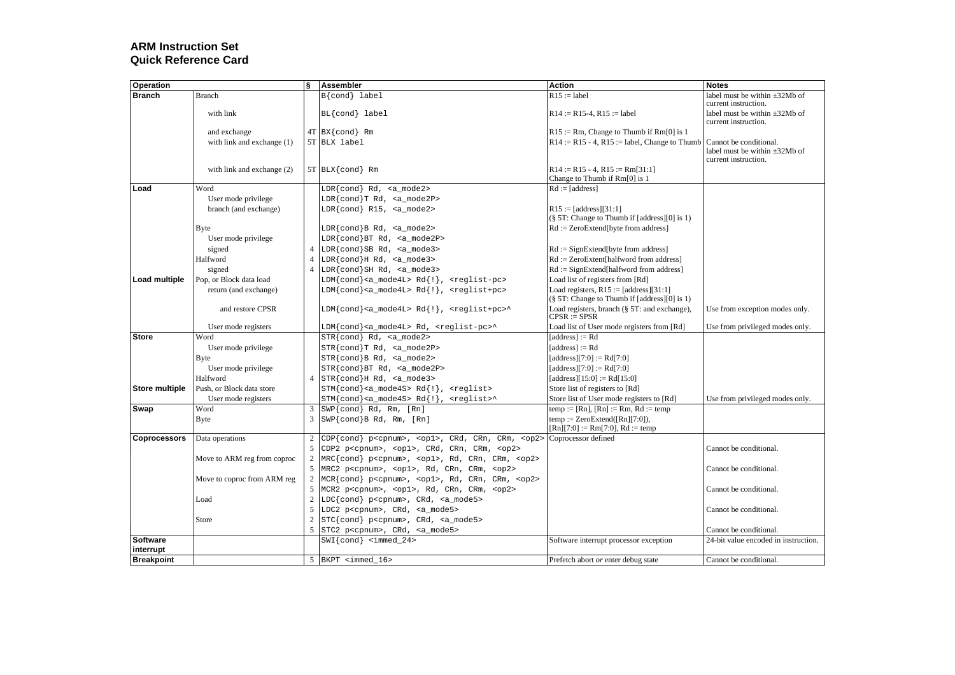# **ARM Instruction Set Quick Reference Card**

| Operation           |                             | ξ              | Assembler                                                                                 | Action                                                                                   | <b>Notes</b>                                                                         |
|---------------------|-----------------------------|----------------|-------------------------------------------------------------------------------------------|------------------------------------------------------------------------------------------|--------------------------------------------------------------------------------------|
| <b>Branch</b>       | <b>Branch</b>               |                | $B\{\text{cond}\}\$ label                                                                 | $R15 :=$ label                                                                           | label must be within $\pm 32Mb$ of<br>current instruction.                           |
|                     | with link                   |                | BL{cond} label                                                                            | $R14 := R15-4$ , $R15 :=$ label                                                          | label must be within $\pm 32Mb$ of<br>current instruction.                           |
|                     | and exchange                |                | $4T$ BX {cond} Rm                                                                         | $R15 := Rm$ , Change to Thumb if $Rm[0]$ is 1                                            |                                                                                      |
|                     | with link and exchange (1)  |                | 5T BLX label                                                                              | $R14 := R15 - 4$ , $R15 :=$ label, Change to Thumb                                       | Cannot be conditional.<br>label must be within $\pm 32Mb$ of<br>current instruction. |
|                     | with link and exchange (2)  |                | $5T$ BLX {cond} Rm                                                                        | $R14 := R15 - 4$ , $R15 := Rm[31:1]$<br>Change to Thumb if $Rm[0]$ is 1                  |                                                                                      |
| Load                | Word                        |                | LDR{cond} Rd, <a_mode2></a_mode2>                                                         | $Rd := [address]$                                                                        |                                                                                      |
|                     | User mode privilege         |                | LDR{cond}T Rd, <a_mode2p></a_mode2p>                                                      |                                                                                          |                                                                                      |
|                     | branch (and exchange)       |                | $LDR{cond}$ R15, $ mode2>$                                                                | $R15 := [address][31:1]$<br>$(\S 5T: Change to Thumb if [address][0] is 1)$              |                                                                                      |
|                     | <b>B</b> yte                |                | $LDR{cond}B Rd, \langle a_{mod}2 \rangle$                                                 | Rd := ZeroExtend[byte from address]                                                      |                                                                                      |
|                     | User mode privilege         |                | LDR{cond}BT Rd, <a_mode2p></a_mode2p>                                                     |                                                                                          |                                                                                      |
|                     | signed                      | $\overline{4}$ | LDR{cond}SB Rd, <a_mode3></a_mode3>                                                       | $Rd :=$ SignExtend [byte from address]                                                   |                                                                                      |
|                     | Halfword                    | $\overline{4}$ | $LDR{cond}$ $H$ $Rd$ , $ mode3>$                                                          | $Rd := ZeroExtent[halfword from address]$                                                |                                                                                      |
|                     | signed                      | $\overline{4}$ | LDR{cond}SH Rd, <a_mode3></a_mode3>                                                       | $Rd :=$ SignExtend[halfword from address]                                                |                                                                                      |
| Load multiple       | Pop, or Block data load     |                | LDM{cond} <a_mode4l> Rd{!}, <reglist-pc></reglist-pc></a_mode4l>                          | Load list of registers from [Rd]                                                         |                                                                                      |
|                     | return (and exchange)       |                | LDM{cond} <a mode4l=""> Rd{!}, <reglist+pc></reglist+pc></a>                              | Load registers, $R15 := [address][31:1]$<br>(§ 5T: Change to Thumb if [address][0] is 1) |                                                                                      |
|                     | and restore CPSR            |                | LDM{cond} <a_mode4l> Rd{!}, <reglist+pc>^</reglist+pc></a_mode4l>                         | Load registers, branch (§ 5T: and exchange),<br>$CPSR := SPSR$                           | Use from exception modes only.                                                       |
|                     | User mode registers         |                | LDM{cond} <a_mode4l> Rd, <reglist-pc>^</reglist-pc></a_mode4l>                            | Load list of User mode registers from [Rd]                                               | Use from privileged modes only.                                                      |
| <b>Store</b>        | Word                        |                | $STR{cond}$ $Rd$ , $ mode2>$                                                              | $[address] := Rd$                                                                        |                                                                                      |
|                     | User mode privilege         |                | $STR{cond}T Rd, $                                                                         | $[address] := Rd$                                                                        |                                                                                      |
|                     | <b>Byte</b>                 |                | $STR{cond}B Rd, \langle a_{model2} \rangle$                                               | [address][7:0] := $Rd[7:0]$                                                              |                                                                                      |
|                     | User mode privilege         |                | STR{cond}BT Rd, <a mode2p=""></a>                                                         | [address][7:0] := $Rd[7:0]$                                                              |                                                                                      |
|                     | Halfword                    | $\overline{4}$ | $STR\{cond\}$ H Rd, <a mode3=""></a>                                                      | [address][15:0] := Rd[15:0]                                                              |                                                                                      |
| Store multiple      | Push, or Block data store   |                | $STM{cond} < a$ mode4S> $Rd{!}, x = c$                                                    | Store list of registers to [Rd]                                                          |                                                                                      |
|                     | User mode registers         |                | $STM\{\text{cond}\}$ <a_mode4s> Rd<math>\{\cdot\}</math>, <reglist>^</reglist></a_mode4s> | Store list of User mode registers to [Rd]                                                | Use from privileged modes only.                                                      |
| Swap                | Word                        | 3              | SWP{cond} Rd, Rm, [Rn]                                                                    | temp := [Rn], [Rn] := Rm, Rd := temp                                                     |                                                                                      |
|                     | <b>B</b> yte                | 3              | $SWP{cond}B Rd, Rm, [Rn]$                                                                 | $temp := ZeroExtend([Rn][7:0]),$<br>$[Rn][7:0] := Rm[7:0], Rd := temp$                   |                                                                                      |
| <b>Coprocessors</b> | Data operations             | 2              | CDP{cond} p <cpnum>, <op1>, CRd, CRn, CRm, <op2></op2></op1></cpnum>                      | Coprocessor defined                                                                      |                                                                                      |
|                     |                             | 5              | CDP2 p <cpnum>, <op1>, CRd, CRn, CRm, <op2></op2></op1></cpnum>                           |                                                                                          | Cannot be conditional.                                                               |
|                     | Move to ARM reg from coproc | $\overline{2}$ | MRC{cond} p <cpnum>, <op1>, Rd, CRn, CRm, <op2></op2></op1></cpnum>                       |                                                                                          |                                                                                      |
|                     |                             | 5              | MRC2 p <cpnum>, <op1>, Rd, CRn, CRm, <op2></op2></op1></cpnum>                            |                                                                                          | Cannot be conditional.                                                               |
|                     | Move to coproc from ARM reg | $\overline{2}$ | MCR{cond} p <cpnum>, <op1>, Rd, CRn, CRm, <op2></op2></op1></cpnum>                       |                                                                                          |                                                                                      |
|                     |                             | 5              | MCR2 p <cpnum>, <op1>, Rd, CRn, CRm, <op2></op2></op1></cpnum>                            |                                                                                          | Cannot be conditional.                                                               |
|                     | Load                        | $\overline{2}$ | LDC{cond} p <cpnum>, CRd, <a_mode5></a_mode5></cpnum>                                     |                                                                                          |                                                                                      |
|                     |                             | 5              | LDC2 p <cpnum>, CRd, <a_mode5></a_mode5></cpnum>                                          |                                                                                          | Cannot be conditional.                                                               |
|                     | Store                       | $\overline{2}$ | STC{cond} p <cpnum>, CRd, <a_mode5></a_mode5></cpnum>                                     |                                                                                          |                                                                                      |
|                     |                             | 5              | STC2 p <cpnum>, CRd, <a_mode5></a_mode5></cpnum>                                          |                                                                                          | Cannot be conditional.                                                               |
| <b>Software</b>     |                             |                | $SWI{cond} < immed_24$                                                                    | Software interrupt processor exception                                                   | 24-bit value encoded in instruction.                                                 |
| interrupt           |                             | 5              |                                                                                           |                                                                                          |                                                                                      |
| <b>Breakpoint</b>   |                             |                | BKPT <immed 16=""></immed>                                                                | Prefetch abort or enter debug state                                                      | Cannot be conditional.                                                               |